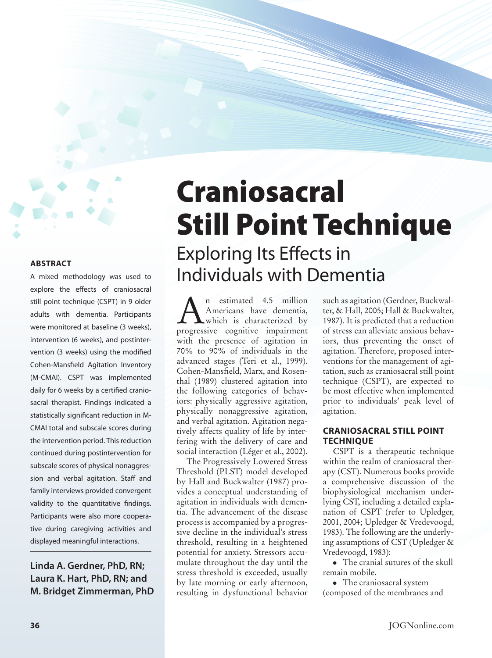A mixed methodology was used to explore the effects of craniosacral still point technique (CSPT) in 9 older adults with dementia. Participants were monitored at baseline (3 weeks), intervention (6 weeks), and postintervention (3 weeks) using the modified Cohen-Mansfield Agitation Inventory (M-CMAI). CSPT was implemented daily for 6 weeks by a certified craniosacral therapist. Findings indicated a statistically significant reduction in M-CMAI total and subscale scores during the intervention period. This reduction continued during postintervention for subscale scores of physical nonaggression and verbal agitation. Staff and family interviews provided convergent validity to the quantitative findings. Participants were also more cooperative during caregiving activities and displayed meaningful interactions.

**Linda A. Gerdner, PhD, RN; Laura K. Hart, PhD, RN; and M. Bridget Zimmerman, PhD**

# Craniosacral Still Point Technique Exploring Its Effects in Individuals with Dementia

 $\sum_{\substack{\text{American} \\ \text{which is characterized by} \\ \text{prooresive, conjitive, impairment}}$ Americans have dementia, progressive cognitive impairment with the presence of agitation in 70% to 90% of individuals in the advanced stages (Teri et al., 1999). Cohen-Mansfield, Marx, and Rosenthal (1989) clustered agitation into the following categories of behaviors: physically aggressive agitation, physically nonaggressive agitation, and verbal agitation. Agitation negatively affects quality of life by interfering with the delivery of care and social interaction (Léger et al., 2002).

The Progressively Lowered Stress Threshold (PLST) model developed by Hall and Buckwalter (1987) provides a conceptual understanding of agitation in individuals with dementia. The advancement of the disease process is accompanied by a progressive decline in the individual's stress threshold, resulting in a heightened potential for anxiety. Stressors accumulate throughout the day until the stress threshold is exceeded, usually by late morning or early afternoon, resulting in dysfunctional behavior

such as agitation (Gerdner, Buckwalter, & Hall, 2005; Hall & Buckwalter, 1987). It is predicted that a reduction of stress can alleviate anxious behaviors, thus preventing the onset of agitation. Therefore, proposed interventions for the management of agitation, such as craniosacral still point technique (CSPT), are expected to be most effective when implemented prior to individuals' peak level of agitation.

# **Craniosacral Still Point Technique**

CSPT is a therapeutic technique within the realm of craniosacral therapy (CST). Numerous books provide a comprehensive discussion of the biophysiological mechanism underlying CST, including a detailed explanation of CSPT (refer to Upledger, 2001, 2004; Upledger & Vredevoogd, 1983). The following are the underlying assumptions of CST (Upledger & Vredevoogd, 1983):

• The cranial sutures of the skull remain mobile.

• The craniosacral system (composed of the membranes and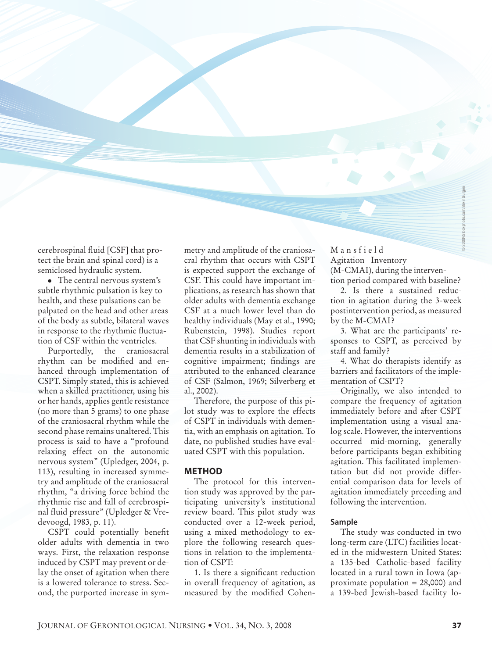cerebrospinal fluid [CSF] that protect the brain and spinal cord) is a semiclosed hydraulic system.

• The central nervous system's subtle rhythmic pulsation is key to health, and these pulsations can be palpated on the head and other areas of the body as subtle, bilateral waves in response to the rhythmic fluctuation of CSF within the ventricles.

Purportedly, the craniosacral rhythm can be modified and enhanced through implementation of CSPT. Simply stated, this is achieved when a skilled practitioner, using his or her hands, applies gentle resistance (no more than 5 grams) to one phase of the craniosacral rhythm while the second phase remains unaltered. This process is said to have a "profound relaxing effect on the autonomic nervous system" (Upledger, 2004, p. 113), resulting in increased symmetry and amplitude of the craniosacral rhythm, "a driving force behind the rhythmic rise and fall of cerebrospinal fluid pressure" (Upledger & Vredevoogd, 1983, p. 11).

CSPT could potentially benefit older adults with dementia in two ways. First, the relaxation response induced by CSPT may prevent or delay the onset of agitation when there is a lowered tolerance to stress. Second, the purported increase in symmetry and amplitude of the craniosacral rhythm that occurs with CSPT is expected support the exchange of CSF. This could have important implications, as research has shown that older adults with dementia exchange CSF at a much lower level than do healthy individuals (May et al., 1990; Rubenstein, 1998). Studies report that CSF shunting in individuals with dementia results in a stabilization of cognitive impairment; findings are attributed to the enhanced clearance of CSF (Salmon, 1969; Silverberg et al., 2002).

Therefore, the purpose of this pilot study was to explore the effects of CSPT in individuals with dementia, with an emphasis on agitation. To date, no published studies have evaluated CSPT with this population.

#### **Method**

The protocol for this intervention study was approved by the participating university's institutional review board. This pilot study was conducted over a 12-week period, using a mixed methodology to explore the following research questions in relation to the implementation of CSPT:

1. Is there a significant reduction in overall frequency of agitation, as measured by the modified CohenM a n s f i e l d Agitation Inventory (M-CMAI), during the intervention period compared with baseline?

2. Is there a sustained reduction in agitation during the 3-week postintervention period, as measured by the M-CMAI?

3. What are the participants' responses to CSPT, as perceived by staff and family?

4. What do therapists identify as barriers and facilitators of the implementation of CSPT?

Originally, we also intended to compare the frequency of agitation immediately before and after CSPT implementation using a visual analog scale. However, the interventions occurred mid-morning, generally before participants began exhibiting agitation. This facilitated implementation but did not provide differential comparison data for levels of agitation immediately preceding and following the intervention.

#### **Sample**

The study was conducted in two long-term care (LTC) facilities located in the midwestern United States: a 135-bed Catholic-based facility located in a rural town in Iowa (approximate population = 28,000) and a 139-bed Jewish-based facility lo-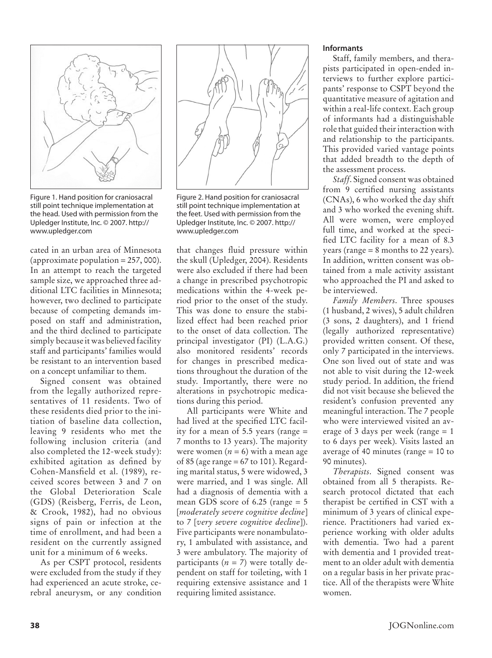

Figure 1. Hand position for craniosacral still point technique implementation at the head. Used with permission from the Upledger Institute, Inc. © 2007. http:// www.upledger.com

cated in an urban area of Minnesota (approximate population  $= 257,000$ ). In an attempt to reach the targeted sample size, we approached three additional LTC facilities in Minnesota; however, two declined to participate because of competing demands imposed on staff and administration, and the third declined to participate simply because it was believed facility staff and participants' families would be resistant to an intervention based on a concept unfamiliar to them.

Signed consent was obtained from the legally authorized representatives of 11 residents. Two of these residents died prior to the initiation of baseline data collection, leaving 9 residents who met the following inclusion criteria (and also completed the 12-week study): exhibited agitation as defined by Cohen-Mansfield et al. (1989), received scores between 3 and 7 on the Global Deterioration Scale (GDS) (Reisberg, Ferris, de Leon, & Crook, 1982), had no obvious signs of pain or infection at the time of enrollment, and had been a resident on the currently assigned unit for a minimum of 6 weeks.

As per CSPT protocol, residents were excluded from the study if they had experienced an acute stroke, cerebral aneurysm, or any condition



Figure 2. Hand position for craniosacral still point technique implementation at the feet. Used with permission from the Upledger Institute, Inc. © 2007. http:// www.upledger.com

that changes fluid pressure within the skull (Upledger, 2004). Residents were also excluded if there had been a change in prescribed psychotropic medications within the 4-week period prior to the onset of the study. This was done to ensure the stabilized effect had been reached prior to the onset of data collection. The principal investigator (PI) (L.A.G.) also monitored residents' records for changes in prescribed medications throughout the duration of the study. Importantly, there were no alterations in psychotropic medications during this period.

All participants were White and had lived at the specified LTC facility for a mean of 5.5 years (range = 7 months to 13 years). The majority were women  $(n = 6)$  with a mean age of 85 (age range = 67 to 101). Regarding marital status, 5 were widowed, 3 were married, and 1 was single. All had a diagnosis of dementia with a mean GDS score of 6.25 (range = 5 [*moderately severe cognitive decline*] to 7 [*very severe cognitive decline*]). Five participants were nonambulatory, 1 ambulated with assistance, and 3 were ambulatory. The majority of participants  $(n = 7)$  were totally dependent on staff for toileting, with 1 requiring extensive assistance and 1 requiring limited assistance.

### **Informants**

Staff, family members, and therapists participated in open-ended interviews to further explore participants' response to CSPT beyond the quantitative measure of agitation and within a real-life context. Each group of informants had a distinguishable role that guided their interaction with and relationship to the participants. This provided varied vantage points that added breadth to the depth of the assessment process.

*Staff*. Signed consent was obtained from 9 certified nursing assistants (CNAs), 6 who worked the day shift and 3 who worked the evening shift. All were women, were employed full time, and worked at the specified LTC facility for a mean of 8.3 years (range  $= 8$  months to 22 years). In addition, written consent was obtained from a male activity assistant who approached the PI and asked to be interviewed.

*Family Members*. Three spouses (1 husband, 2 wives), 5 adult children (3 sons, 2 daughters), and 1 friend (legally authorized representative) provided written consent. Of these, only 7 participated in the interviews. One son lived out of state and was not able to visit during the 12-week study period. In addition, the friend did not visit because she believed the resident's confusion prevented any meaningful interaction. The 7 people who were interviewed visited an average of 3 days per week (range = 1 to 6 days per week). Visits lasted an average of 40 minutes (range = 10 to 90 minutes).

*Therapists*. Signed consent was obtained from all 5 therapists. Research protocol dictated that each therapist be certified in CST with a minimum of 3 years of clinical experience. Practitioners had varied experience working with older adults with dementia. Two had a parent with dementia and 1 provided treatment to an older adult with dementia on a regular basis in her private practice. All of the therapists were White women.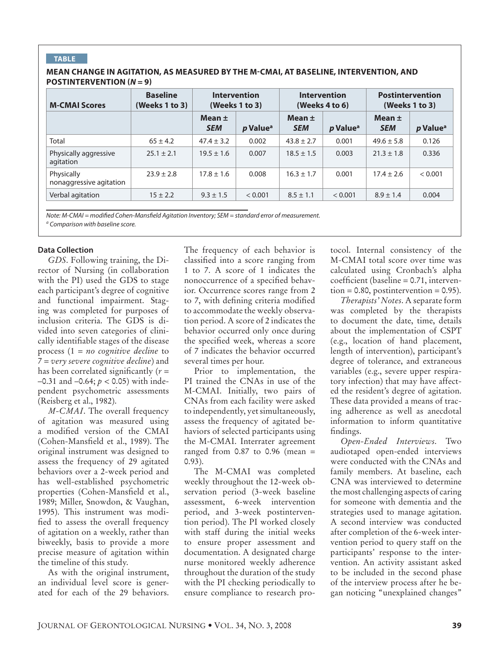# **Table**

#### **Mean change in agitation, as measured by the M-CMAI, at baseline, intervention, and postintervention (***N* **= 9)**

| <b>M-CMAI Scores</b>                  | <b>Baseline</b><br>(Weeks 1 to 3) | Intervention<br>(Weeks 1 to 3) |                      | <b>Intervention</b><br>(Weeks 4 to 6) |                             | <b>Postintervention</b><br>(Weeks 1 to 3) |                      |
|---------------------------------------|-----------------------------------|--------------------------------|----------------------|---------------------------------------|-----------------------------|-------------------------------------------|----------------------|
|                                       |                                   | Mean $\pm$<br><b>SEM</b>       | p Value <sup>a</sup> | Mean $\pm$<br><b>SEM</b>              | <i>p</i> Value <sup>a</sup> | Mean $\pm$<br><b>SEM</b>                  | p Value <sup>a</sup> |
| Total                                 | $65 \pm 4.2$                      | $47.4 \pm 3.2$                 | 0.002                | $43.8 \pm 2.7$                        | 0.001                       | $49.6 \pm 5.8$                            | 0.126                |
| Physically aggressive<br>agitation    | $25.1 \pm 2.1$                    | $19.5 \pm 1.6$                 | 0.007                | $18.5 \pm 1.5$                        | 0.003                       | $21.3 \pm 1.8$                            | 0.336                |
| Physically<br>nonaggressive agitation | $23.9 \pm 2.8$                    | $17.8 \pm 1.6$                 | 0.008                | $16.3 \pm 1.7$                        | 0.001                       | $17.4 \pm 2.6$                            | < 0.001              |
| Verbal agitation                      | $15 \pm 2.2$                      | $9.3 \pm 1.5$                  | < 0.001              | $8.5 \pm 1.1$                         | < 0.001                     | $8.9 \pm 1.4$                             | 0.004                |

*Note: M-CMAI = modified Cohen-Mansfield Agitation Inventory; SEM = standard error of measurement. a Comparison with baseline score.*

#### **Data Collection**

*GDS*. Following training, the Director of Nursing (in collaboration with the PI) used the GDS to stage each participant's degree of cognitive and functional impairment. Staging was completed for purposes of inclusion criteria. The GDS is divided into seven categories of clinically identifiable stages of the disease process (1 = *no cognitive decline* to 7 = *very severe cognitive decline*) and has been correlated significantly  $(r =$ –0.31 and –0.64; *p* < 0.05) with independent psychometric assessments (Reisberg et al., 1982).

*M-CMAI*. The overall frequency of agitation was measured using a modified version of the CMAI (Cohen-Mansfield et al., 1989). The original instrument was designed to assess the frequency of 29 agitated behaviors over a 2-week period and has well-established psychometric properties (Cohen-Mansfield et al., 1989; Miller, Snowdon, & Vaughan, 1995). This instrument was modified to assess the overall frequency of agitation on a weekly, rather than biweekly, basis to provide a more precise measure of agitation within the timeline of this study.

As with the original instrument, an individual level score is generated for each of the 29 behaviors.

The frequency of each behavior is classified into a score ranging from 1 to 7. A score of 1 indicates the nonoccurrence of a specified behavior. Occurrence scores range from 2 to 7, with defining criteria modified to accommodate the weekly observation period. A score of 2 indicates the behavior occurred only once during the specified week, whereas a score of 7 indicates the behavior occurred several times per hour.

Prior to implementation, the PI trained the CNAs in use of the M-CMAI. Initially, two pairs of CNAs from each facility were asked to independently, yet simultaneously, assess the frequency of agitated behaviors of selected participants using the M-CMAI. Interrater agreement ranged from  $0.87$  to  $0.96$  (mean = 0.93).

The M-CMAI was completed weekly throughout the 12-week observation period (3-week baseline assessment, 6-week intervention period, and 3-week postintervention period). The PI worked closely with staff during the initial weeks to ensure proper assessment and documentation. A designated charge nurse monitored weekly adherence throughout the duration of the study with the PI checking periodically to ensure compliance to research pro-

tocol. Internal consistency of the M-CMAI total score over time was calculated using Cronbach's alpha coefficient (baseline = 0.71, interven- $\text{tion} = 0.80$ , postintervention = 0.95).

*Therapists' Notes*. A separate form was completed by the therapists to document the date, time, details about the implementation of CSPT (e.g., location of hand placement, length of intervention), participant's degree of tolerance, and extraneous variables (e.g., severe upper respiratory infection) that may have affected the resident's degree of agitation. These data provided a means of tracing adherence as well as anecdotal information to inform quantitative findings.

*Open-Ended Interviews*. Two audiotaped open-ended interviews were conducted with the CNAs and family members. At baseline, each CNA was interviewed to determine the most challenging aspects of caring for someone with dementia and the strategies used to manage agitation. A second interview was conducted after completion of the 6-week intervention period to query staff on the participants' response to the intervention. An activity assistant asked to be included in the second phase of the interview process after he began noticing "unexplained changes"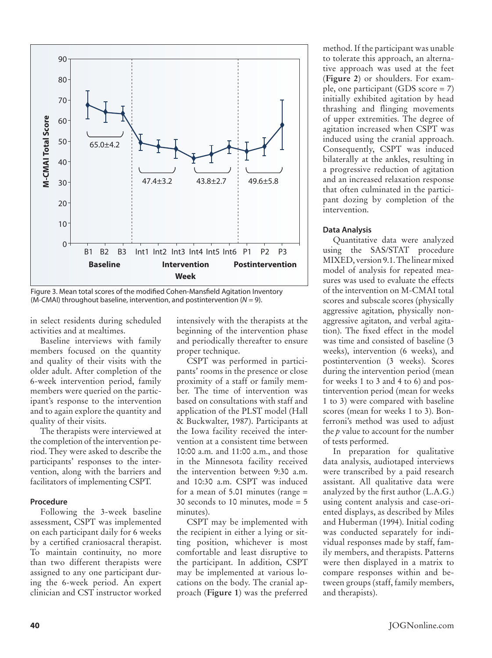

Figure 3. Mean total scores of the modified Cohen-Mansfield Agitation Inventory (M-CMAI) throughout baseline, intervention, and postintervention (*N* = 9).

in select residents during scheduled activities and at mealtimes.

Baseline interviews with family members focused on the quantity and quality of their visits with the older adult. After completion of the 6-week intervention period, family members were queried on the participant's response to the intervention and to again explore the quantity and quality of their visits.

The therapists were interviewed at the completion of the intervention period. They were asked to describe the participants' responses to the intervention, along with the barriers and facilitators of implementing CSPT.

#### **Procedure**

Following the 3-week baseline assessment, CSPT was implemented on each participant daily for 6 weeks by a certified craniosacral therapist. To maintain continuity, no more than two different therapists were assigned to any one participant during the 6-week period. An expert clinician and CST instructor worked intensively with the therapists at the beginning of the intervention phase and periodically thereafter to ensure proper technique.

CSPT was performed in participants' rooms in the presence or close proximity of a staff or family member. The time of intervention was based on consultations with staff and application of the PLST model (Hall & Buckwalter, 1987). Participants at the Iowa facility received the intervention at a consistent time between 10:00 a.m. and 11:00 a.m., and those in the Minnesota facility received the intervention between 9:30 a.m. and 10:30 a.m. CSPT was induced for a mean of 5.01 minutes (range = 30 seconds to 10 minutes, mode = 5 minutes).

CSPT may be implemented with the recipient in either a lying or sitting position, whichever is most comfortable and least disruptive to the participant. In addition, CSPT may be implemented at various locations on the body. The cranial approach (**Figure 1**) was the preferred

method. If the participant was unable to tolerate this approach, an alternative approach was used at the feet (**Figure 2**) or shoulders. For example, one participant (GDS score = 7) initially exhibited agitation by head thrashing and flinging movements of upper extremities. The degree of agitation increased when CSPT was induced using the cranial approach. Consequently, CSPT was induced bilaterally at the ankles, resulting in a progressive reduction of agitation and an increased relaxation response that often culminated in the participant dozing by completion of the intervention.

#### **Data Analysis**

Quantitative data were analyzed using the SAS/STAT procedure MIXED, version 9.1. The linear mixed model of analysis for repeated measures was used to evaluate the effects of the intervention on M-CMAI total scores and subscale scores (physically aggressive agitation, physically nonaggressive agitaton, and verbal agitation). The fixed effect in the model was time and consisted of baseline (3 weeks), intervention (6 weeks), and postintervention (3 weeks). Scores during the intervention period (mean for weeks 1 to 3 and 4 to 6) and postintervention period (mean for weeks 1 to 3) were compared with baseline scores (mean for weeks 1 to 3). Bonferroni's method was used to adjust the *p* value to account for the number of tests performed.

In preparation for qualitative data analysis, audiotaped interviews were transcribed by a paid research assistant. All qualitative data were analyzed by the first author (L.A.G.) using content analysis and case-oriented displays, as described by Miles and Huberman (1994). Initial coding was conducted separately for individual responses made by staff, family members, and therapists. Patterns were then displayed in a matrix to compare responses within and between groups (staff, family members, and therapists).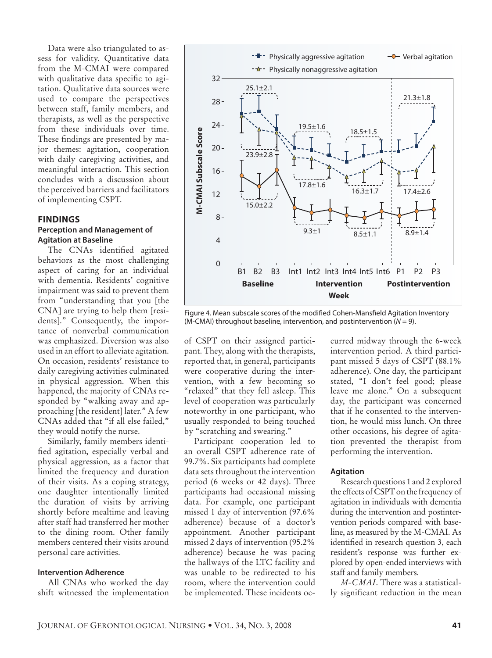Data were also triangulated to assess for validity. Quantitative data from the M-CMAI were compared with qualitative data specific to agitation. Qualitative data sources were used to compare the perspectives between staff, family members, and therapists, as well as the perspective from these individuals over time. These findings are presented by major themes: agitation, cooperation with daily caregiving activities, and meaningful interaction. This section concludes with a discussion about the perceived barriers and facilitators of implementing CSPT.

# **Findings Perception and Management of Agitation at Baseline**

The CNAs identified agitated behaviors as the most challenging aspect of caring for an individual with dementia. Residents' cognitive impairment was said to prevent them from "understanding that you [the CNA] are trying to help them [residents]." Consequently, the importance of nonverbal communication was emphasized. Diversion was also used in an effort to alleviate agitation. On occasion, residents' resistance to daily caregiving activities culminated in physical aggression. When this happened, the majority of CNAs responded by "walking away and approaching [the resident] later." A few CNAs added that "if all else failed," they would notify the nurse.

Similarly, family members identified agitation, especially verbal and physical aggression, as a factor that limited the frequency and duration of their visits. As a coping strategy, one daughter intentionally limited the duration of visits by arriving shortly before mealtime and leaving after staff had transferred her mother to the dining room. Other family members centered their visits around personal care activities.

#### **Intervention Adherence**

All CNAs who worked the day shift witnessed the implementation



Figure 4. Mean subscale scores of the modified Cohen-Mansfield Agitation Inventory (M-CMAI) throughout baseline, intervention, and postintervention (*N* = 9).

of CSPT on their assigned participant. They, along with the therapists, reported that, in general, participants were cooperative during the intervention, with a few becoming so "relaxed" that they fell asleep. This level of cooperation was particularly noteworthy in one participant, who usually responded to being touched by "scratching and swearing."

Participant cooperation led to an overall CSPT adherence rate of 99.7%. Six participants had complete data sets throughout the intervention period (6 weeks or 42 days). Three participants had occasional missing data. For example, one participant missed 1 day of intervention (97.6% adherence) because of a doctor's appointment. Another participant missed 2 days of intervention (95.2% adherence) because he was pacing the hallways of the LTC facility and was unable to be redirected to his room, where the intervention could be implemented. These incidents occurred midway through the 6-week intervention period. A third participant missed 5 days of CSPT (88.1% adherence). One day, the participant stated, "I don't feel good; please leave me alone." On a subsequent day, the participant was concerned that if he consented to the intervention, he would miss lunch. On three other occasions, his degree of agitation prevented the therapist from performing the intervention.

#### **Agitation**

Research questions 1 and 2 explored the effects of CSPT on the frequency of agitation in individuals with dementia during the intervention and postintervention periods compared with baseline, as measured by the M-CMAI. As identified in research question 3, each resident's response was further explored by open-ended interviews with staff and family members.

*M-CMAI*. There was a statistically significant reduction in the mean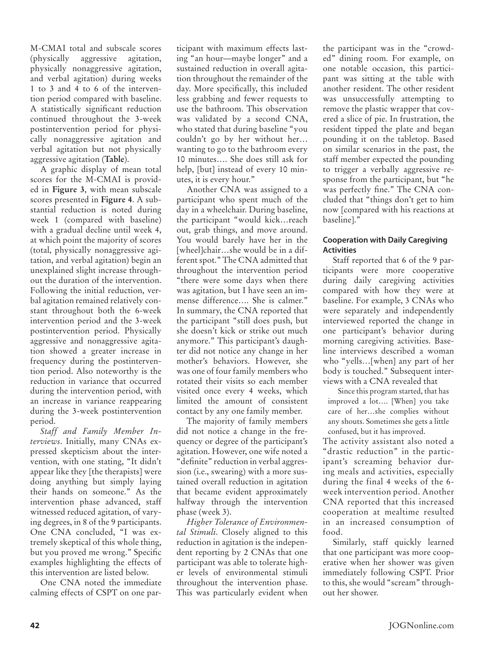M-CMAI total and subscale scores (physically aggressive agitation, physically nonaggressive agitation, and verbal agitation) during weeks 1 to 3 and 4 to 6 of the intervention period compared with baseline. A statistically significant reduction continued throughout the 3-week postintervention period for physically nonaggressive agitation and verbal agitation but not physically aggressive agitation (**Table**).

A graphic display of mean total scores for the M-CMAI is provided in **Figure 3**, with mean subscale scores presented in **Figure 4**. A substantial reduction is noted during week 1 (compared with baseline) with a gradual decline until week 4, at which point the majority of scores (total, physically nonaggressive agitation, and verbal agitation) begin an unexplained slight increase throughout the duration of the intervention. Following the initial reduction, verbal agitation remained relatively constant throughout both the 6-week intervention period and the 3-week postintervention period. Physically aggressive and nonaggressive agitation showed a greater increase in frequency during the postintervention period. Also noteworthy is the reduction in variance that occurred during the intervention period, with an increase in variance reappearing during the 3-week postintervention period.

*Staff and Family Member Interviews*. Initially, many CNAs expressed skepticism about the intervention, with one stating, "It didn't appear like they [the therapists] were doing anything but simply laying their hands on someone." As the intervention phase advanced, staff witnessed reduced agitation, of varying degrees, in 8 of the 9 participants. One CNA concluded, "I was extremely skeptical of this whole thing, but you proved me wrong." Specific examples highlighting the effects of this intervention are listed below.

One CNA noted the immediate calming effects of CSPT on one par-

ticipant with maximum effects lasting "an hour—maybe longer" and a sustained reduction in overall agitation throughout the remainder of the day. More specifically, this included less grabbing and fewer requests to use the bathroom. This observation was validated by a second CNA, who stated that during baseline "you couldn't go by her without her… wanting to go to the bathroom every 10 minutes…. She does still ask for help, [but] instead of every 10 minutes, it is every hour."

Another CNA was assigned to a participant who spent much of the day in a wheelchair. During baseline, the participant "would kick…reach out, grab things, and move around. You would barely have her in the [wheel]chair…she would be in a different spot." The CNA admitted that throughout the intervention period "there were some days when there was agitation, but I have seen an immense difference…. She is calmer." In summary, the CNA reported that the participant "still does push, but she doesn't kick or strike out much anymore." This participant's daughter did not notice any change in her mother's behaviors. However, she was one of four family members who rotated their visits so each member visited once every 4 weeks, which limited the amount of consistent contact by any one family member.

The majority of family members did not notice a change in the frequency or degree of the participant's agitation. However, one wife noted a "definite" reduction in verbal aggression (i.e., swearing) with a more sustained overall reduction in agitation that became evident approximately halfway through the intervention phase (week 3).

*Higher Tolerance of Environmental Stimuli*. Closely aligned to this reduction in agitation is the independent reporting by 2 CNAs that one participant was able to tolerate higher levels of environmental stimuli throughout the intervention phase. This was particularly evident when

the participant was in the "crowded" dining room. For example, on one notable occasion, this participant was sitting at the table with another resident. The other resident was unsuccessfully attempting to remove the plastic wrapper that covered a slice of pie. In frustration, the resident tipped the plate and began pounding it on the tabletop. Based on similar scenarios in the past, the staff member expected the pounding to trigger a verbally aggressive response from the participant, but "he was perfectly fine." The CNA concluded that "things don't get to him now [compared with his reactions at baseline]."

# **Cooperation with Daily Caregiving Activities**

Staff reported that 6 of the 9 participants were more cooperative during daily caregiving activities compared with how they were at baseline. For example, 3 CNAs who were separately and independently interviewed reported the change in one participant's behavior during morning caregiving activities. Baseline interviews described a woman who "yells…[when] any part of her body is touched." Subsequent interviews with a CNA revealed that

Since this program started, that has improved a lot…. [When] you take care of her…she complies without any shouts. Sometimes she gets a little confused, but it has improved.

The activity assistant also noted a "drastic reduction" in the participant's screaming behavior during meals and activities, especially during the final 4 weeks of the 6 week intervention period. Another CNA reported that this increased cooperation at mealtime resulted in an increased consumption of food.

Similarly, staff quickly learned that one participant was more cooperative when her shower was given immediately following CSPT. Prior to this, she would "scream" throughout her shower.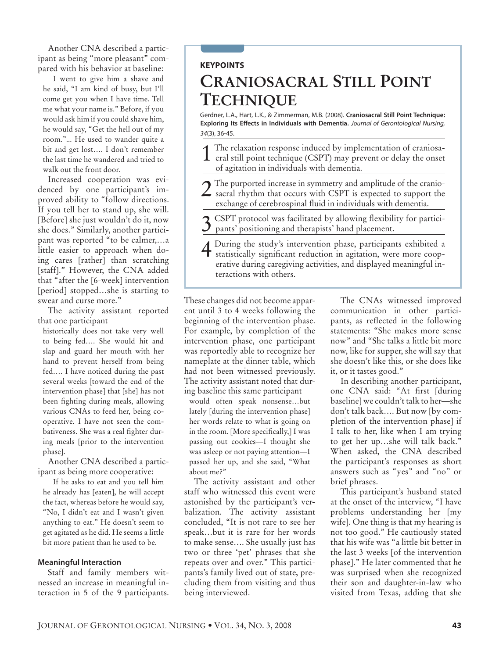Another CNA described a participant as being "more pleasant" compared with his behavior at baseline:

I went to give him a shave and he said, "I am kind of busy, but I'll come get you when I have time. Tell me what your name is." Before, if you would ask him if you could shave him, he would say, "Get the hell out of my room."... He used to wander quite a bit and get lost…. I don't remember the last time he wandered and tried to walk out the front door.

Increased cooperation was evidenced by one participant's improved ability to "follow directions. If you tell her to stand up, she will. [Before] she just wouldn't do it, now she does." Similarly, another participant was reported "to be calmer,…a little easier to approach when doing cares [rather] than scratching [staff]." However, the CNA added that "after the [6-week] intervention [period] stopped...she is starting to swear and curse more."

The activity assistant reported that one participant

historically does not take very well to being fed…. She would hit and slap and guard her mouth with her hand to prevent herself from being fed…. I have noticed during the past several weeks [toward the end of the intervention phase] that [she] has not been fighting during meals, allowing various CNAs to feed her, being cooperative. I have not seen the combativeness. She was a real fighter during meals [prior to the intervention phase].

Another CNA described a participant as being more cooperative:

If he asks to eat and you tell him he already has [eaten], he will accept the fact, whereas before he would say, "No, I didn't eat and I wasn't given anything to eat." He doesn't seem to get agitated as he did. He seems a little bit more patient than he used to be.

#### **Meaningful Interaction**

Staff and family members witnessed an increase in meaningful interaction in 5 of the 9 participants.

# **keypoints**

# **Craniosacral Still Point Technique**

Gerdner, L.A., Hart, L.K., & Zimmerman, M.B. (2008). **Craniosacral Still Point Technique: Exploring Its Effects in Individuals with Dementia.** *Journal of Gerontological Nursing, 34*(3), 36-45.

- 1 The relaxation response induced by implementation of craniosa-cral still point technique (CSPT) may prevent or delay the onset of agitation in individuals with dementia.
- $\boldsymbol{\gamma}$  The purported increase in symmetry and amplitude of the craniosacral rhythm that occurs with CSPT is expected to support the exchange of cerebrospinal fluid in individuals with dementia.
- 3 CSPT protocol was facilitated by allowing flexibility for partici-pants' positioning and therapists' hand placement.
- 4 During the study's intervention phase, participants exhibited a statistically significant and statistically significant reduction in agitation, were more cooperative during caregiving activities, and displayed meaningful interactions with others.

These changes did not become apparent until 3 to 4 weeks following the beginning of the intervention phase. For example, by completion of the intervention phase, one participant was reportedly able to recognize her nameplate at the dinner table, which had not been witnessed previously. The activity assistant noted that during baseline this same participant

would often speak nonsense…but lately [during the intervention phase] her words relate to what is going on in the room. [More specifically,] I was passing out cookies—I thought she was asleep or not paying attention—I passed her up, and she said, "What about me?"

The activity assistant and other staff who witnessed this event were astonished by the participant's verbalization. The activity assistant concluded, "It is not rare to see her speak…but it is rare for her words to make sense…. She usually just has two or three 'pet' phrases that she repeats over and over." This participants's family lived out of state, precluding them from visiting and thus being interviewed.

The CNAs witnessed improved communication in other participants, as reflected in the following statements: "She makes more sense now" and "She talks a little bit more now, like for supper, she will say that she doesn't like this, or she does like it, or it tastes good."

In describing another participant, one CNA said: "At first [during baseline] we couldn't talk to her—she don't talk back…. But now [by completion of the intervention phase] if I talk to her, like when I am trying to get her up…she will talk back." When asked, the CNA described the participant's responses as short answers such as "yes" and "no" or brief phrases.

This participant's husband stated at the onset of the interview, "I have problems understanding her [my wife]. One thing is that my hearing is not too good." He cautiously stated that his wife was "a little bit better in the last 3 weeks [of the intervention phase]." He later commented that he was surprised when she recognized their son and daughter-in-law who visited from Texas, adding that she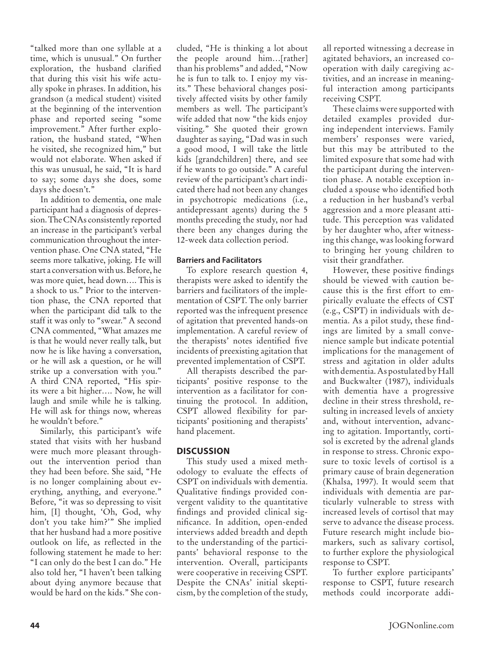"talked more than one syllable at a time, which is unusual." On further exploration, the husband clarified that during this visit his wife actually spoke in phrases. In addition, his grandson (a medical student) visited at the beginning of the intervention phase and reported seeing "some improvement." After further exploration, the husband stated, "When he visited, she recognized him," but would not elaborate. When asked if this was unusual, he said, "It is hard to say; some days she does, some days she doesn't."

In addition to dementia, one male participant had a diagnosis of depression. The CNAs consistently reported an increase in the participant's verbal communication throughout the intervention phase. One CNA stated, "He seems more talkative, joking. He will start a conversation with us. Before, he was more quiet, head down…. This is a shock to us." Prior to the intervention phase, the CNA reported that when the participant did talk to the staff it was only to "swear." A second CNA commented, "What amazes me is that he would never really talk, but now he is like having a conversation, or he will ask a question, or he will strike up a conversation with you." A third CNA reported, "His spirits were a bit higher…. Now, he will laugh and smile while he is talking. He will ask for things now, whereas he wouldn't before."

Similarly, this participant's wife stated that visits with her husband were much more pleasant throughout the intervention period than they had been before. She said, "He is no longer complaining about everything, anything, and everyone." Before, "it was so depressing to visit him, [I] thought, 'Oh, God, why don't you take him?'" She implied that her husband had a more positive outlook on life, as reflected in the following statement he made to her: "I can only do the best I can do." He also told her, "I haven't been talking about dying anymore because that would be hard on the kids." She concluded, "He is thinking a lot about the people around him…[rather] than his problems" and added, "Now he is fun to talk to. I enjoy my visits." These behavioral changes positively affected visits by other family members as well. The participant's wife added that now "the kids enjoy visiting." She quoted their grown daughter as saying, "Dad was in such a good mood, I will take the little kids [grandchildren] there, and see if he wants to go outside." A careful review of the participant's chart indicated there had not been any changes in psychotropic medications (i.e., antidepressant agents) during the 5 months preceding the study, nor had there been any changes during the 12-week data collection period.

# **Barriers and Facilitators**

To explore research question 4, therapists were asked to identify the barriers and facilitators of the implementation of CSPT. The only barrier reported was the infrequent presence of agitation that prevented hands-on implementation. A careful review of the therapists' notes identified five incidents of preexisting agitation that prevented implementation of CSPT.

All therapists described the participants' positive response to the intervention as a facilitator for continuing the protocol. In addition, CSPT allowed flexibility for participants' positioning and therapists' hand placement.

# **Discussion**

This study used a mixed methodology to evaluate the effects of CSPT on individuals with dementia. Qualitative findings provided convergent validity to the quantitative findings and provided clinical significance. In addition, open-ended interviews added breadth and depth to the understanding of the participants' behavioral response to the intervention. Overall, participants were cooperative in receiving CSPT. Despite the CNAs' initial skepticism, by the completion of the study,

all reported witnessing a decrease in agitated behaviors, an increased cooperation with daily caregiving activities, and an increase in meaningful interaction among participants receiving CSPT.

These claims were supported with detailed examples provided during independent interviews. Family members' responses were varied, but this may be attributed to the limited exposure that some had with the participant during the intervention phase. A notable exception included a spouse who identified both a reduction in her husband's verbal aggression and a more pleasant attitude. This perception was validated by her daughter who, after witnessing this change, was looking forward to bringing her young children to visit their grandfather.

However, these positive findings should be viewed with caution because this is the first effort to empirically evaluate the effects of CST (e.g., CSPT) in individuals with dementia. As a pilot study, these findings are limited by a small convenience sample but indicate potential implications for the management of stress and agitation in older adults with dementia. As postulated by Hall and Buckwalter (1987), individuals with dementia have a progressive decline in their stress threshold, resulting in increased levels of anxiety and, without intervention, advancing to agitation. Importantly, cortisol is excreted by the adrenal glands in response to stress. Chronic exposure to toxic levels of cortisol is a primary cause of brain degeneration (Khalsa, 1997). It would seem that individuals with dementia are particularly vulnerable to stress with increased levels of cortisol that may serve to advance the disease process. Future research might include biomarkers, such as salivary cortisol, to further explore the physiological response to CSPT.

To further explore participants' response to CSPT, future research methods could incorporate addi